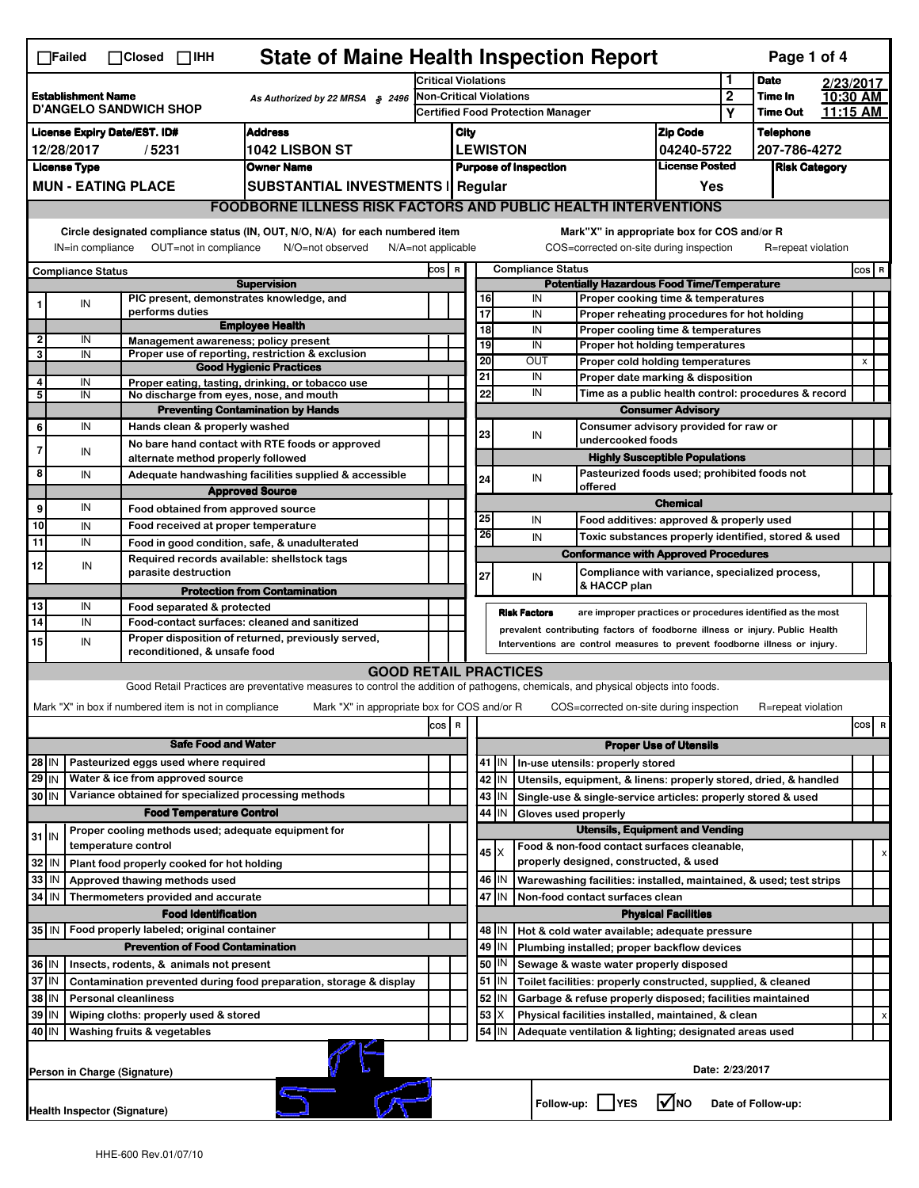| <b>State of Maine Health Inspection Report</b><br>Page 1 of 4<br>$\Box$ Failed<br>$\Box$ Closed $\Box$ IHH                                                                                                                                                                                |                              |                     |                                                             |                                                                                                                                   |                                                       |                                                                            |                                                                              |                                             |                                             |                                                                                   |                                       |                  |                            |           |     |   |
|-------------------------------------------------------------------------------------------------------------------------------------------------------------------------------------------------------------------------------------------------------------------------------------------|------------------------------|---------------------|-------------------------------------------------------------|-----------------------------------------------------------------------------------------------------------------------------------|-------------------------------------------------------|----------------------------------------------------------------------------|------------------------------------------------------------------------------|---------------------------------------------|---------------------------------------------|-----------------------------------------------------------------------------------|---------------------------------------|------------------|----------------------------|-----------|-----|---|
|                                                                                                                                                                                                                                                                                           |                              |                     |                                                             |                                                                                                                                   |                                                       | <b>Critical Violations</b>                                                 |                                                                              |                                             |                                             |                                                                                   |                                       | 1                | <b>Date</b>                | 2/23/2017 |     |   |
| <b>Establishment Name</b><br>As Authorized by 22 MRSA § 2496<br><b>D'ANGELO SANDWICH SHOP</b>                                                                                                                                                                                             |                              |                     |                                                             |                                                                                                                                   | <b>Non-Critical Violations</b>                        |                                                                            |                                                                              |                                             |                                             |                                                                                   |                                       | $\boldsymbol{2}$ | Time In<br><b>Time Out</b> | 10:30 AM  |     |   |
|                                                                                                                                                                                                                                                                                           |                              |                     |                                                             |                                                                                                                                   | <b>Certified Food Protection Manager</b>              |                                                                            |                                                                              |                                             |                                             |                                                                                   | Υ                                     |                  | 11:15 AM                   |           |     |   |
| <b>Address</b><br><b>License Expiry Date/EST. ID#</b>                                                                                                                                                                                                                                     |                              |                     |                                                             |                                                                                                                                   | City                                                  |                                                                            |                                                                              |                                             |                                             |                                                                                   | <b>Zip Code</b>                       |                  | <b>Telephone</b>           |           |     |   |
| 12/28/2017<br>/5231<br>1042 LISBON ST                                                                                                                                                                                                                                                     |                              |                     |                                                             |                                                                                                                                   |                                                       | <b>LEWISTON</b><br>04240-5722                                              |                                                                              |                                             |                                             |                                                                                   | 207-786-4272                          |                  |                            |           |     |   |
| <b>License Type</b><br><b>Owner Name</b>                                                                                                                                                                                                                                                  |                              |                     |                                                             |                                                                                                                                   | <b>License Posted</b><br><b>Purpose of Inspection</b> |                                                                            |                                                                              |                                             |                                             | <b>Risk Category</b>                                                              |                                       |                  |                            |           |     |   |
| <b>MUN - EATING PLACE</b><br><b>SUBSTANTIAL INVESTMENTS   Regular</b>                                                                                                                                                                                                                     |                              |                     |                                                             |                                                                                                                                   |                                                       |                                                                            |                                                                              |                                             |                                             |                                                                                   | Yes                                   |                  |                            |           |     |   |
| <b>FOODBORNE ILLNESS RISK FACTORS AND PUBLIC HEALTH INTERVENTIONS</b>                                                                                                                                                                                                                     |                              |                     |                                                             |                                                                                                                                   |                                                       |                                                                            |                                                                              |                                             |                                             |                                                                                   |                                       |                  |                            |           |     |   |
| Circle designated compliance status (IN, OUT, N/O, N/A) for each numbered item<br>Mark"X" in appropriate box for COS and/or R<br>OUT=not in compliance<br>N/O=not observed<br>COS=corrected on-site during inspection<br>R=repeat violation<br>IN=in compliance<br>$N/A = not$ applicable |                              |                     |                                                             |                                                                                                                                   |                                                       |                                                                            |                                                                              |                                             |                                             |                                                                                   |                                       |                  |                            |           |     |   |
| <b>Compliance Status</b>                                                                                                                                                                                                                                                                  |                              |                     |                                                             |                                                                                                                                   | <b>Compliance Status</b><br>cos  <br>$\mathbf R$      |                                                                            |                                                                              |                                             |                                             |                                                                                   |                                       |                  | COS R                      |           |     |   |
| <b>Supervision</b>                                                                                                                                                                                                                                                                        |                              |                     |                                                             |                                                                                                                                   | <b>Potentially Hazardous Food Time/Temperature</b>    |                                                                            |                                                                              |                                             |                                             |                                                                                   |                                       |                  |                            |           |     |   |
|                                                                                                                                                                                                                                                                                           | IN                           |                     | PIC present, demonstrates knowledge, and<br>performs duties |                                                                                                                                   |                                                       |                                                                            |                                                                              | 16<br>17                                    | IN<br>IN                                    | Proper cooking time & temperatures                                                |                                       |                  |                            |           |     |   |
|                                                                                                                                                                                                                                                                                           |                              |                     |                                                             | <b>Employee Health</b>                                                                                                            |                                                       |                                                                            |                                                                              | $\overline{18}$                             | IN                                          | Proper reheating procedures for hot holding<br>Proper cooling time & temperatures |                                       |                  |                            |           |     |   |
| $\overline{2}$                                                                                                                                                                                                                                                                            | IN                           |                     | Management awareness: policy present                        |                                                                                                                                   |                                                       |                                                                            |                                                                              | 19<br>IN<br>Proper hot holding temperatures |                                             |                                                                                   |                                       |                  |                            |           |     |   |
| 3                                                                                                                                                                                                                                                                                         | IN                           |                     |                                                             | Proper use of reporting, restriction & exclusion<br><b>Good Hygienic Practices</b>                                                |                                                       |                                                                            |                                                                              | 20                                          | OUT                                         | Proper cold holding temperatures                                                  |                                       |                  |                            |           | X   |   |
| 4                                                                                                                                                                                                                                                                                         | IN                           |                     |                                                             | Proper eating, tasting, drinking, or tobacco use                                                                                  |                                                       |                                                                            | 21                                                                           |                                             | IN                                          | Proper date marking & disposition                                                 |                                       |                  |                            |           |     |   |
| 5                                                                                                                                                                                                                                                                                         | IN                           |                     | No discharge from eyes, nose, and mouth                     |                                                                                                                                   |                                                       |                                                                            |                                                                              | 22                                          | IN                                          | Time as a public health control: procedures & record                              |                                       |                  |                            |           |     |   |
|                                                                                                                                                                                                                                                                                           |                              |                     |                                                             | <b>Preventing Contamination by Hands</b>                                                                                          |                                                       |                                                                            |                                                                              |                                             |                                             |                                                                                   | <b>Consumer Advisory</b>              |                  |                            |           |     |   |
| 6                                                                                                                                                                                                                                                                                         | IN                           |                     | Hands clean & properly washed                               |                                                                                                                                   |                                                       |                                                                            |                                                                              | 23                                          | IN                                          | Consumer advisory provided for raw or<br>undercooked foods                        |                                       |                  |                            |           |     |   |
| $\overline{7}$                                                                                                                                                                                                                                                                            | IN                           |                     |                                                             | No bare hand contact with RTE foods or approved                                                                                   |                                                       |                                                                            |                                                                              |                                             |                                             |                                                                                   | <b>Highly Susceptible Populations</b> |                  |                            |           |     |   |
| 8                                                                                                                                                                                                                                                                                         | IN                           |                     | alternate method properly followed                          |                                                                                                                                   |                                                       |                                                                            |                                                                              |                                             |                                             | Pasteurized foods used; prohibited foods not                                      |                                       |                  |                            |           |     |   |
|                                                                                                                                                                                                                                                                                           |                              |                     |                                                             | Adequate handwashing facilities supplied & accessible<br><b>Approved Source</b>                                                   |                                                       |                                                                            |                                                                              | 24                                          | IN                                          | offered                                                                           |                                       |                  |                            |           |     |   |
| 9                                                                                                                                                                                                                                                                                         | IN                           |                     | Food obtained from approved source                          |                                                                                                                                   |                                                       |                                                                            |                                                                              |                                             |                                             |                                                                                   | <b>Chemical</b>                       |                  |                            |           |     |   |
| 10                                                                                                                                                                                                                                                                                        | IN                           |                     | Food received at proper temperature                         |                                                                                                                                   |                                                       |                                                                            |                                                                              | 25                                          | IN                                          | Food additives: approved & properly used                                          |                                       |                  |                            |           |     |   |
| $\overline{11}$                                                                                                                                                                                                                                                                           | IN                           |                     |                                                             | Food in good condition, safe, & unadulterated                                                                                     |                                                       |                                                                            |                                                                              | 26                                          | IN                                          | Toxic substances properly identified, stored & used                               |                                       |                  |                            |           |     |   |
|                                                                                                                                                                                                                                                                                           |                              |                     |                                                             | Required records available: shellstock tags                                                                                       |                                                       |                                                                            |                                                                              |                                             |                                             | <b>Conformance with Approved Procedures</b>                                       |                                       |                  |                            |           |     |   |
| 12                                                                                                                                                                                                                                                                                        | IN                           |                     | parasite destruction                                        |                                                                                                                                   |                                                       |                                                                            |                                                                              | 27                                          | IN                                          | Compliance with variance, specialized process,                                    |                                       |                  |                            |           |     |   |
|                                                                                                                                                                                                                                                                                           |                              |                     |                                                             | <b>Protection from Contamination</b>                                                                                              |                                                       |                                                                            |                                                                              |                                             |                                             | & HACCP plan                                                                      |                                       |                  |                            |           |     |   |
| 13                                                                                                                                                                                                                                                                                        | IN                           |                     | Food separated & protected                                  |                                                                                                                                   |                                                       |                                                                            |                                                                              |                                             | <b>Risk Factors</b>                         | are improper practices or procedures identified as the most                       |                                       |                  |                            |           |     |   |
| 14                                                                                                                                                                                                                                                                                        | IN                           |                     |                                                             | Food-contact surfaces: cleaned and sanitized                                                                                      |                                                       |                                                                            | prevalent contributing factors of foodborne illness or injury. Public Health |                                             |                                             |                                                                                   |                                       |                  |                            |           |     |   |
| 15                                                                                                                                                                                                                                                                                        | IN                           |                     | reconditioned, & unsafe food                                | Proper disposition of returned, previously served,                                                                                |                                                       | Interventions are control measures to prevent foodborne illness or injury. |                                                                              |                                             |                                             |                                                                                   |                                       |                  |                            |           |     |   |
|                                                                                                                                                                                                                                                                                           |                              |                     |                                                             | <b>GOOD RETAIL PRACTICES</b>                                                                                                      |                                                       |                                                                            |                                                                              |                                             |                                             |                                                                                   |                                       |                  |                            |           |     |   |
|                                                                                                                                                                                                                                                                                           |                              |                     |                                                             | Good Retail Practices are preventative measures to control the addition of pathogens, chemicals, and physical objects into foods. |                                                       |                                                                            |                                                                              |                                             |                                             |                                                                                   |                                       |                  |                            |           |     |   |
|                                                                                                                                                                                                                                                                                           |                              |                     | Mark "X" in box if numbered item is not in compliance       | Mark "X" in appropriate box for COS and/or R                                                                                      |                                                       |                                                                            |                                                                              |                                             |                                             | COS=corrected on-site during inspection                                           |                                       |                  | R=repeat violation         |           |     |   |
|                                                                                                                                                                                                                                                                                           |                              |                     |                                                             |                                                                                                                                   | cos R                                                 |                                                                            |                                                                              |                                             |                                             |                                                                                   |                                       |                  |                            |           | cos | R |
|                                                                                                                                                                                                                                                                                           |                              |                     | <b>Safe Food and Water</b>                                  |                                                                                                                                   |                                                       |                                                                            | <b>Proper Use of Utensils</b>                                                |                                             |                                             |                                                                                   |                                       |                  |                            |           |     |   |
| $28$ IN                                                                                                                                                                                                                                                                                   |                              |                     | Pasteurized eggs used where required                        |                                                                                                                                   |                                                       |                                                                            |                                                                              | 41<br>IN                                    |                                             | In-use utensils: properly stored                                                  |                                       |                  |                            |           |     |   |
| $29$ IN                                                                                                                                                                                                                                                                                   |                              |                     | Water & ice from approved source                            |                                                                                                                                   |                                                       |                                                                            |                                                                              | 42 IN                                       |                                             | Utensils, equipment, & linens: properly stored, dried, & handled                  |                                       |                  |                            |           |     |   |
| 30 IN                                                                                                                                                                                                                                                                                     |                              |                     | Variance obtained for specialized processing methods        |                                                                                                                                   |                                                       |                                                                            |                                                                              | $43$ IN                                     |                                             | Single-use & single-service articles: properly stored & used                      |                                       |                  |                            |           |     |   |
| <b>Food Temperature Control</b>                                                                                                                                                                                                                                                           |                              |                     |                                                             |                                                                                                                                   |                                                       |                                                                            |                                                                              | 44<br>IN                                    | Gloves used properly                        |                                                                                   |                                       |                  |                            |           |     |   |
| $31$ IN                                                                                                                                                                                                                                                                                   |                              |                     | Proper cooling methods used; adequate equipment for         |                                                                                                                                   |                                                       |                                                                            | <b>Utensils, Equipment and Vending</b>                                       |                                             |                                             |                                                                                   |                                       |                  |                            |           |     |   |
|                                                                                                                                                                                                                                                                                           |                              | temperature control |                                                             |                                                                                                                                   |                                                       |                                                                            |                                                                              | 45   X                                      |                                             | Food & non-food contact surfaces cleanable,                                       |                                       |                  |                            |           |     | х |
| 32<br>Plant food properly cooked for hot holding<br>IN                                                                                                                                                                                                                                    |                              |                     |                                                             |                                                                                                                                   |                                                       |                                                                            |                                                                              |                                             | properly designed, constructed, & used      |                                                                                   |                                       |                  |                            |           |     |   |
| 33                                                                                                                                                                                                                                                                                        | IN                           |                     | Approved thawing methods used                               |                                                                                                                                   |                                                       |                                                                            |                                                                              | 46 IN                                       |                                             | Warewashing facilities: installed, maintained, & used; test strips                |                                       |                  |                            |           |     |   |
| 34                                                                                                                                                                                                                                                                                        | l IN                         |                     | Thermometers provided and accurate                          |                                                                                                                                   |                                                       |                                                                            |                                                                              | 47 IN                                       |                                             | Non-food contact surfaces clean                                                   |                                       |                  |                            |           |     |   |
| <b>Food Identification</b><br><b>Physical Facilities</b>                                                                                                                                                                                                                                  |                              |                     |                                                             |                                                                                                                                   |                                                       |                                                                            |                                                                              |                                             |                                             |                                                                                   |                                       |                  |                            |           |     |   |
| 35 IN                                                                                                                                                                                                                                                                                     |                              |                     | Food properly labeled; original container                   |                                                                                                                                   |                                                       |                                                                            |                                                                              | 48   IN                                     |                                             | Hot & cold water available; adequate pressure                                     |                                       |                  |                            |           |     |   |
| <b>Prevention of Food Contamination</b>                                                                                                                                                                                                                                                   |                              |                     |                                                             |                                                                                                                                   |                                                       |                                                                            | 49<br>IN                                                                     |                                             | Plumbing installed; proper backflow devices |                                                                                   |                                       |                  |                            |           |     |   |
| 36 IN<br>Insects, rodents, & animals not present                                                                                                                                                                                                                                          |                              |                     |                                                             |                                                                                                                                   |                                                       |                                                                            |                                                                              | 50<br>IN                                    |                                             | Sewage & waste water properly disposed                                            |                                       |                  |                            |           |     |   |
| 37 IN<br>Contamination prevented during food preparation, storage & display                                                                                                                                                                                                               |                              |                     |                                                             |                                                                                                                                   |                                                       |                                                                            |                                                                              | $51$ $\vert$ IN                             |                                             | Toilet facilities: properly constructed, supplied, & cleaned                      |                                       |                  |                            |           |     |   |
| 38<br>IN<br><b>Personal cleanliness</b>                                                                                                                                                                                                                                                   |                              |                     |                                                             |                                                                                                                                   |                                                       |                                                                            |                                                                              | 52<br>IN<br>53<br>X                         |                                             | Garbage & refuse properly disposed; facilities maintained                         |                                       |                  |                            |           |     |   |
| 39<br>IN<br>Wiping cloths: properly used & stored<br>40 IN<br>Washing fruits & vegetables                                                                                                                                                                                                 |                              |                     |                                                             |                                                                                                                                   |                                                       |                                                                            |                                                                              | 54<br>IN                                    |                                             | Physical facilities installed, maintained, & clean                                |                                       |                  |                            |           |     |   |
|                                                                                                                                                                                                                                                                                           |                              |                     |                                                             |                                                                                                                                   |                                                       |                                                                            |                                                                              |                                             |                                             | Adequate ventilation & lighting; designated areas used                            |                                       |                  |                            |           |     |   |
|                                                                                                                                                                                                                                                                                           | Person in Charge (Signature) |                     |                                                             |                                                                                                                                   |                                                       |                                                                            |                                                                              |                                             |                                             |                                                                                   | Date: 2/23/2017                       |                  |                            |           |     |   |
|                                                                                                                                                                                                                                                                                           | Health Inspector (Signature) |                     |                                                             |                                                                                                                                   |                                                       |                                                                            |                                                                              |                                             |                                             | Follow-up:     YES                                                                | l√lno                                 |                  | Date of Follow-up:         |           |     |   |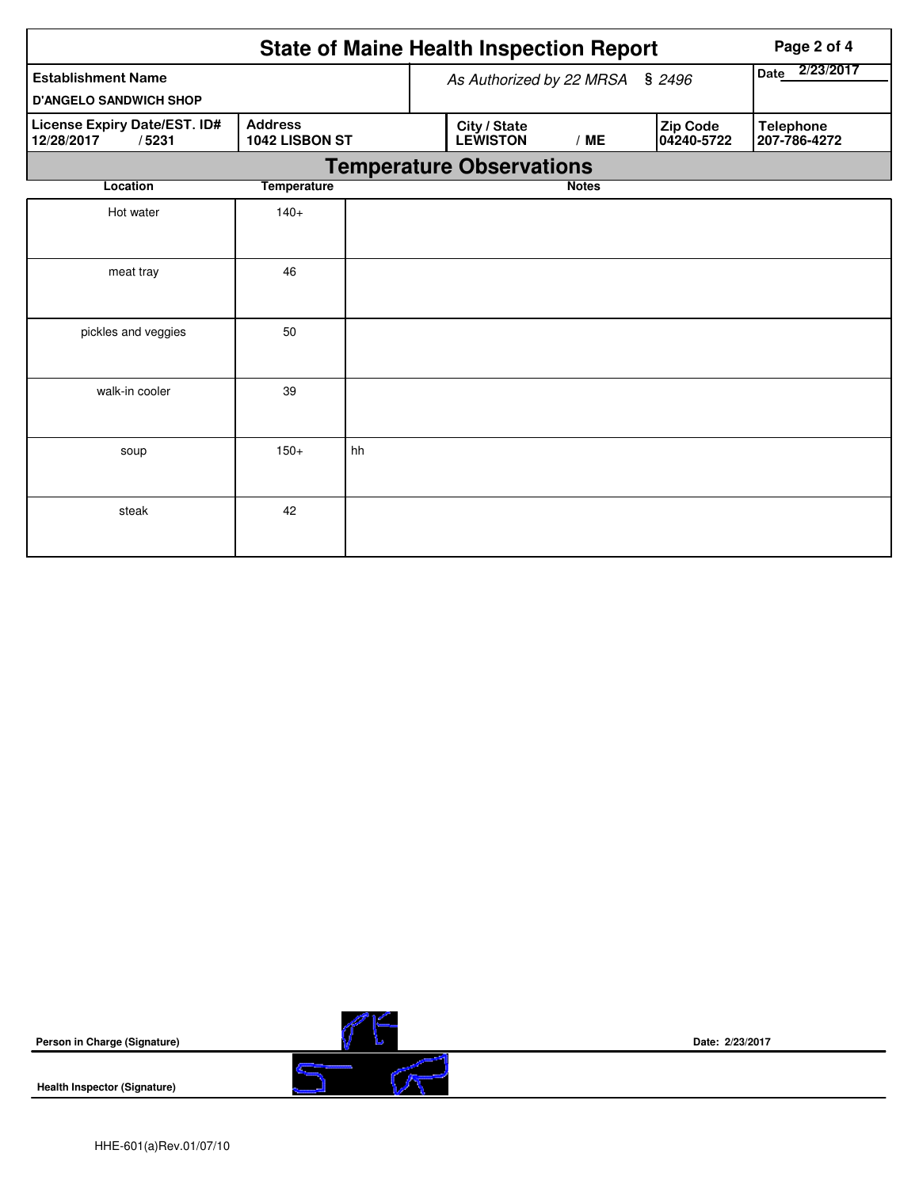|                                                     | Page 2 of 4                      |    |                                 |                          |                        |                                  |
|-----------------------------------------------------|----------------------------------|----|---------------------------------|--------------------------|------------------------|----------------------------------|
| <b>Establishment Name</b>                           |                                  |    | As Authorized by 22 MRSA § 2496 | 2/23/2017<br><b>Date</b> |                        |                                  |
| <b>D'ANGELO SANDWICH SHOP</b>                       |                                  |    |                                 |                          |                        |                                  |
| License Expiry Date/EST. ID#<br>12/28/2017<br>/5231 | <b>Address</b><br>1042 LISBON ST |    | City / State<br><b>LEWISTON</b> | /ME                      | Zip Code<br>04240-5722 | <b>Telephone</b><br>207-786-4272 |
|                                                     |                                  |    | <b>Temperature Observations</b> |                          |                        |                                  |
| Location                                            | <b>Temperature</b>               |    |                                 | <b>Notes</b>             |                        |                                  |
| Hot water                                           | $140+$                           |    |                                 |                          |                        |                                  |
| meat tray                                           | 46                               |    |                                 |                          |                        |                                  |
| pickles and veggies                                 | 50                               |    |                                 |                          |                        |                                  |
| walk-in cooler                                      | 39                               |    |                                 |                          |                        |                                  |
| soup                                                | $150+$                           | hh |                                 |                          |                        |                                  |
| steak                                               | 42                               |    |                                 |                          |                        |                                  |

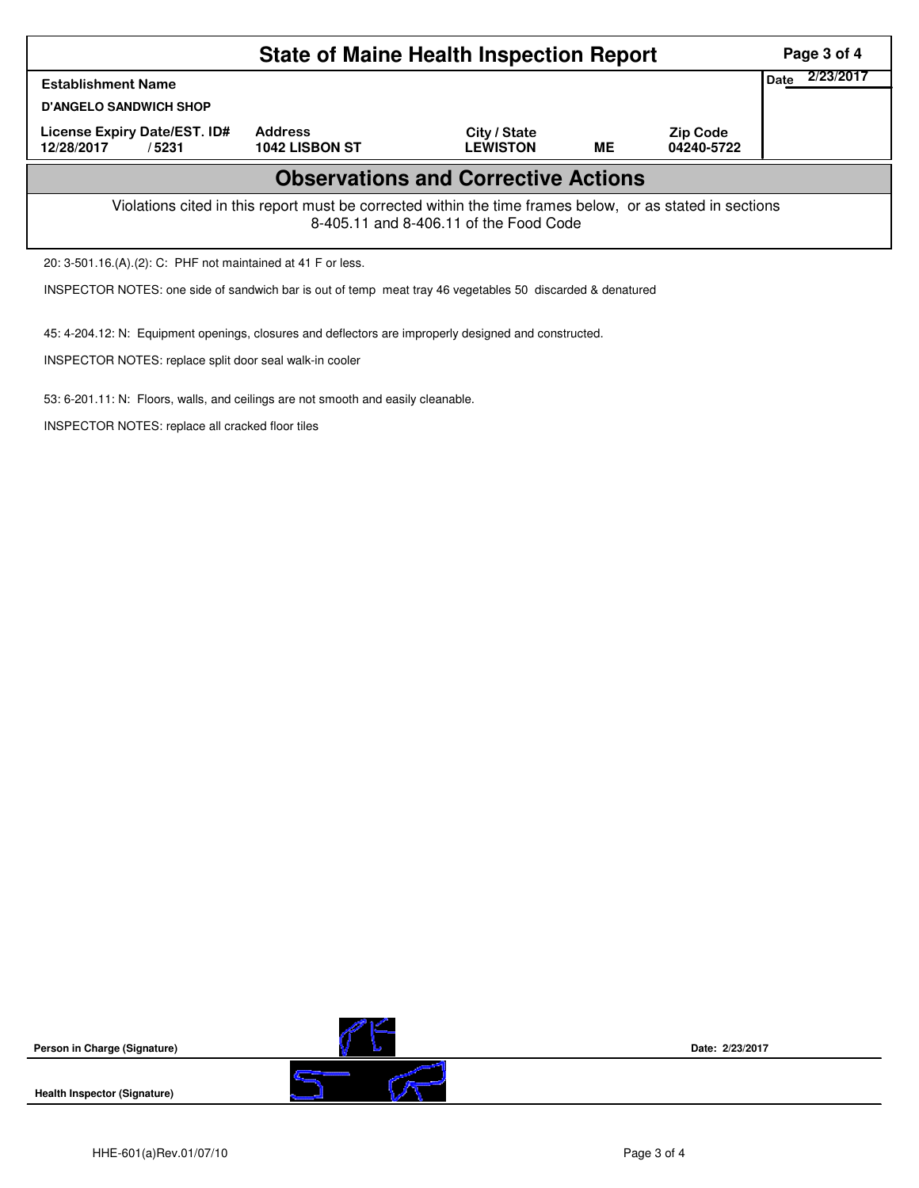|                                                                                                                                                    | Page 3 of 4                      |                                 |    |                               |                   |  |  |  |  |
|----------------------------------------------------------------------------------------------------------------------------------------------------|----------------------------------|---------------------------------|----|-------------------------------|-------------------|--|--|--|--|
| <b>Establishment Name</b>                                                                                                                          |                                  |                                 |    |                               | 2/23/2017<br>Date |  |  |  |  |
| <b>D'ANGELO SANDWICH SHOP</b>                                                                                                                      |                                  |                                 |    |                               |                   |  |  |  |  |
| License Expiry Date/EST. ID#<br>12/28/2017<br>/5231                                                                                                | <b>Address</b><br>1042 LISBON ST | City / State<br><b>LEWISTON</b> | ME | <b>Zip Code</b><br>04240-5722 |                   |  |  |  |  |
| <b>Observations and Corrective Actions</b>                                                                                                         |                                  |                                 |    |                               |                   |  |  |  |  |
| Violations cited in this report must be corrected within the time frames below, or as stated in sections<br>8-405.11 and 8-406.11 of the Food Code |                                  |                                 |    |                               |                   |  |  |  |  |
| 20: 3-501.16.(A).(2): C: PHF not maintained at 41 F or less.                                                                                       |                                  |                                 |    |                               |                   |  |  |  |  |
| INSPECTOR NOTES: one side of sandwich bar is out of temp meat tray 46 vegetables 50 discarded & denatured                                          |                                  |                                 |    |                               |                   |  |  |  |  |

45: 4-204.12: N: Equipment openings, closures and deflectors are improperly designed and constructed.

INSPECTOR NOTES: replace split door seal walk-in cooler

INSPECTOR NOTES: replace all cracked floor tiles

53: 6-201.11: N: Floors, walls, and ceilings are not smooth and easily cleanable.